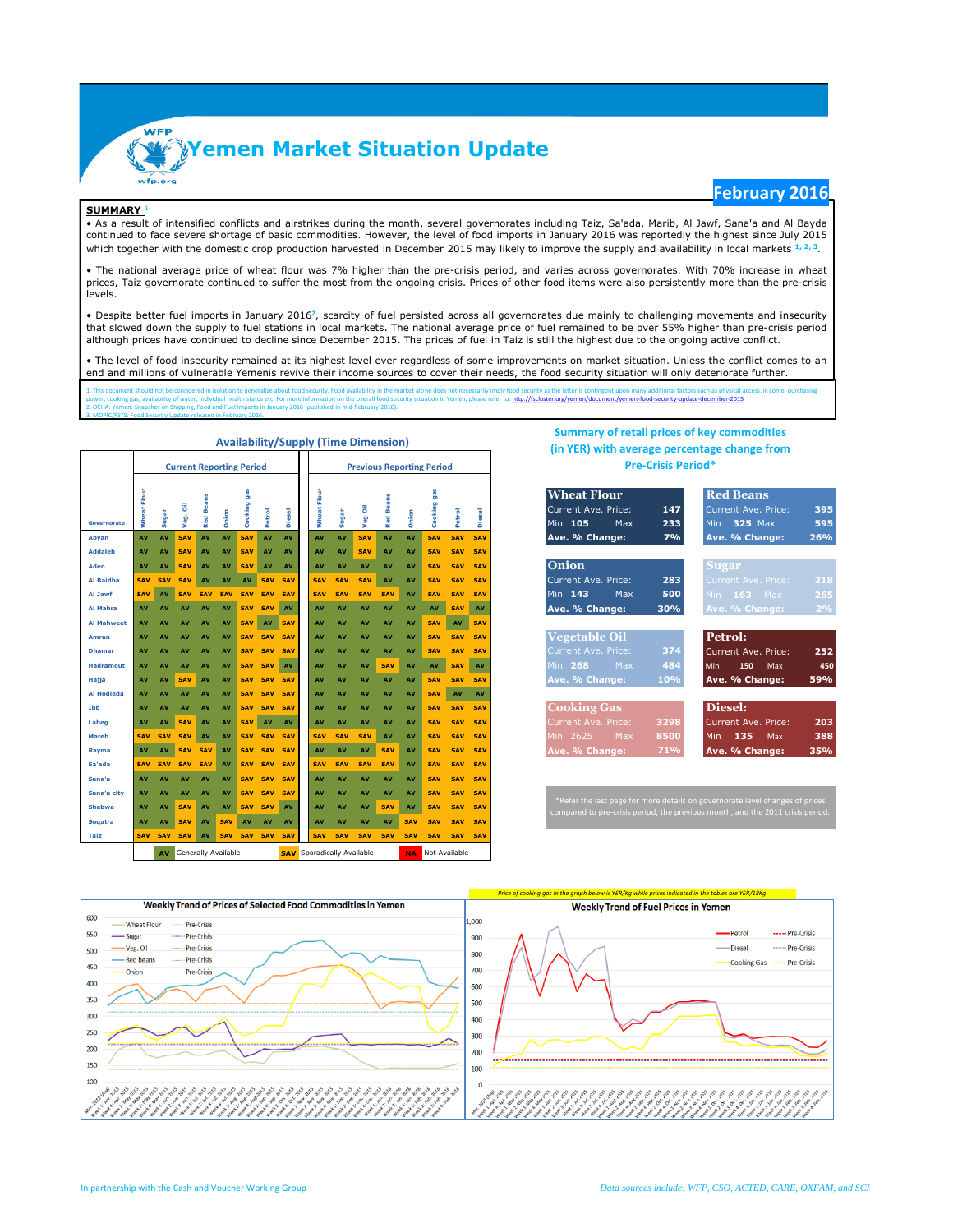**Yemen Market Situation Update**

### **SUMMARY** <sup>1</sup>

3. MOPIC/FSTS: Food Security Update released in February 2016.

## **February 2016**

• As a result of intensified conflicts and airstrikes during the month, several governorates including Taiz, Sa'ada, Marib, Al Jawf, Sana'a and Al Bayda continued to face severe shortage of basic commodities. However, the level of food imports in January 2016 was reportedly the highest since July 2015 which together with the domestic crop production harvested in December 2015 may likely to improve the supply and availability in local markets **1, 2, <sup>3</sup>**.

• The national average price of wheat flour was 7% higher than the pre-crisis period, and varies across governorates. With 70% increase in wheat prices, Taiz governorate continued to suffer the most from the ongoing crisis. Prices of other food items were also persistently more than the pre-crisis levels.

• Despite better fuel imports in January 2016<sup>2</sup>, scarcity of fuel persisted across all governorates due mainly to challenging movements and insecurity that slowed down the supply to fuel stations in local markets. The national average price of fuel remained to be over 55% higher than pre-crisis period although prices have continued to decline since December 2015. The prices of fuel in Taiz is still the highest due to the ongoing active conflict.

• The level of food insecurity remained at its highest level ever regardless of some improvements on market situation. Unless the conflict comes to an end and millions of vulnerable Yemenis revive their income sources to cover their needs, the food security situation will only deteriorate further.

1. This document should not be considered in isolation to generalize about food security. Food availability in the market alo ne does not necessarily imply food security as the latter is contingent upon many additional fac d-security-update-december-2015 2. OCHA: Yemen: Snapshot on Shipping, Food and Fuel Imports in January 2016 (published in mid-February 2016).

|                                  |                |            | <b>Current Reporting Period</b> |                  |            |                |                                   |               |                |            |            | <b>Previous Reporting Period</b> |                         |                |            |                                 | The rent with average percentage change from<br><b>Pre-Crisis Period*</b>                                                                                   |
|----------------------------------|----------------|------------|---------------------------------|------------------|------------|----------------|-----------------------------------|---------------|----------------|------------|------------|----------------------------------|-------------------------|----------------|------------|---------------------------------|-------------------------------------------------------------------------------------------------------------------------------------------------------------|
| <b>Governorate</b>               | Flour<br>Wheat | Sugar      | Veg. Oil                        | <b>Red Beans</b> | Onion      | gas<br>Cooking | Petrol                            | <b>Diesel</b> | Flour<br>Wheat | Sugar      | Veg Oil    | <b>Red Beans</b>                 | Onion                   | gas<br>Cooking | Petrol     | $\overline{\mathbf{c}}$<br>Dies | <b>Wheat Flour</b><br><b>Red Beans</b><br>Current Ave. Price:<br>147<br><b>Current Ave. Price:</b><br>395<br>Min 105<br>595<br>Max<br>233<br>325 Max<br>Min |
| Abyan                            | AV             | AV         | SAV                             | AV               | AV         | <b>SAV</b>     | AV                                | AV            | AV             | AV         | <b>SAV</b> | AV                               | AV                      | <b>SAV</b>     | <b>SAV</b> | <b>SAV</b>                      | Ave. % Change:<br>7%<br>Ave. % Change:<br>26%                                                                                                               |
| <b>Addaleh</b>                   | AV             | AV         | <b>SAV</b>                      | AV               | AV         | <b>SAV</b>     | AV                                | AV            | AV             | AV         | <b>SAV</b> | AV                               | AV                      | <b>SAV</b>     | <b>SAV</b> | SAV                             |                                                                                                                                                             |
| Aden                             | AV             | AV         | <b>SAV</b>                      | AV               | AV         | <b>SAV</b>     | AV                                | AV            | AV             | AV         | AV         | AV                               | AV                      | <b>SAV</b>     | <b>SAV</b> | <b>SAV</b>                      | <b>Onion</b><br><b>Sugar</b>                                                                                                                                |
| Al Baidha                        | <b>SAV</b>     | <b>SAV</b> | <b>SAV</b>                      | AV               | AV         | AV             |                                   | SAV SAV       | SAV            | <b>SAV</b> | <b>SAV</b> | AV                               | AV                      | SAV            | SAV        | SAV                             | Current Ave. Price:<br>283<br>218<br>Current Ave. Price:                                                                                                    |
| Al Jawf                          | <b>SAV</b>     | AV         | <b>SAV</b>                      | <b>SAV</b>       | <b>SAV</b> | <b>SAV</b>     | <b>SAV</b>                        | <b>SAV</b>    | <b>SAV</b>     | <b>SAV</b> | SAV        | <b>SAV</b>                       | AV                      | <b>SAV</b>     | <b>SAV</b> | SAV                             | Min 143<br>265<br>Max<br>500<br>Min 163 Max                                                                                                                 |
| Al Mahra                         | AV             | AV         | AV                              | AV               | AV         | <b>SAV</b>     | <b>SAV</b>                        | AV            | AV             | AV         | AV         | AV                               | AV                      | AV             | <b>SAV</b> | AV                              | 2%<br>Ave. % Change:<br>30%<br>Ave. % Change:                                                                                                               |
| <b>Al Mahweet</b>                | AV             | AV         | AV                              | AV               | AV         | <b>SAV</b>     | AV                                | SAV           | AV             | AV         | AV         | AV                               | AV                      | <b>SAV</b>     | AV         | SAV                             |                                                                                                                                                             |
| Amran                            | AV             | AV         | AV                              | AV               | AV         | <b>SAV</b>     | <b>SAV</b>                        | SAV           | AV             | AV         | AV         | AV                               | AV                      | <b>SAV</b>     | <b>SAV</b> | <b>SAV</b>                      | Vegetable Oil<br>Petrol:                                                                                                                                    |
| <b>Dhamar</b>                    | AV             | AV         | AV                              | AV               | AV         | <b>SAV</b>     | <b>SAV</b>                        | SAV           | AV             | AV         | AV         | AV                               | AV                      | SAV            | SAV        | SAV                             | 252<br><b>Current Ave. Price:</b><br>374<br>Current Ave. Price:                                                                                             |
| <b>Hadramout</b>                 | AV             | AV         | AV                              | AV               | AV         |                | SAV SAV                           | AV            | AV             | AV         | AV         | <b>SAV</b>                       | AV                      | AV             | <b>SAV</b> | AV                              | Min.<br>268<br>Max<br>484<br>450<br>150<br>Max<br>Min                                                                                                       |
| Hajja                            | AV             | AV         | <b>SAV</b>                      | AV               | AV         | <b>SAV</b>     | <b>SAV</b>                        | SAV           | AV             | AV         | AV         | AV                               | AV                      | <b>SAV</b>     | <b>SAV</b> | SAV                             | 59%<br>Ave. % Change:<br>10%<br>Ave. % Change:                                                                                                              |
| <b>Al Hodieda</b>                | AV             | AV         | AV                              | AV               | AV         | <b>SAV</b>     | <b>SAV</b>                        | <b>SAV</b>    | AV             | AV         | AV         | AV                               | AV                      | <b>SAV</b>     | AV         | AV                              |                                                                                                                                                             |
| Ibb                              | AV             | AV         | AV                              | AV               | AV         |                | SAV SAV SAV                       |               | AV             | AV         | AV         | AV                               | <b>AV</b>               | <b>SAV</b>     | SAV        | <b>SAV</b>                      | <b>Cooking Gas</b><br>Diesel:                                                                                                                               |
| Laheg                            | AV             | AV         | <b>SAV</b>                      | AV               | AV         | <b>SAV</b>     | AV                                | AV            | AV             | AV         | AV         | AV                               | AV                      | <b>SAV</b>     | <b>SAV</b> | SAV                             | 203<br>Current Ave. Price:<br>3298<br>Current Ave. Price:                                                                                                   |
| <b>Mareb</b>                     | <b>SAV</b>     | <b>SAV</b> | <b>SAV</b>                      | AV               | AV         | <b>SAV</b>     | <b>SAV</b>                        | SAV           | <b>SAV</b>     | <b>SAV</b> | SAV        | AV                               | AV                      | <b>SAV</b>     | <b>SAV</b> | <b>SAV</b>                      | 2625<br>8500<br>388<br>Max<br>135<br>Min.<br>Min<br>Max                                                                                                     |
| Rayma                            | AV             | AV         | <b>SAV</b>                      | <b>SAV</b>       | AV         |                | SAV SAV SAV                       |               | AV             | AV         | AV         | <b>SAV</b>                       | AV                      | <b>SAV</b>     | <b>SAV</b> | <b>SAV</b>                      | 71%<br>35%<br>Ave. % Change:<br>Ave. % Change:                                                                                                              |
| Sa'ada                           | <b>SAV</b>     | <b>SAV</b> | <b>SAV</b>                      | <b>SAV</b>       | AV         |                | SAV SAV SAV                       |               | <b>SAV</b>     | <b>SAV</b> | <b>SAV</b> | <b>SAV</b>                       | AV                      | <b>SAV</b>     | <b>SAV</b> | <b>SAV</b>                      |                                                                                                                                                             |
| Sana'a                           | AV             | AV         | AV                              | AV               | AV         | <b>SAV</b>     | <b>SAV</b>                        | SAV           | AV             | AV         | AV         | AV                               | <b>AV</b>               | <b>SAV</b>     | <b>SAV</b> | <b>SAV</b>                      |                                                                                                                                                             |
| Sana'a city                      | AV             | AV         | AV                              | AV               | AV         | <b>SAV</b>     | <b>SAV</b>                        | <b>SAV</b>    | AV             | AV         | AV         | AV                               | AV                      | <b>SAV</b>     | <b>SAV</b> | <b>SAV</b>                      | *Refer the last page for more details on governorate level changes of prices                                                                                |
| <b>Shabwa</b>                    | AV             | AV         | <b>SAV</b>                      | AV               | AV         |                | SAV SAV                           | AV            | AV             | AV         | AV         | <b>SAV</b>                       | AV                      | <b>SAV</b>     | <b>SAV</b> | <b>SAV</b>                      | compared to pre-crisis period, the previous month, and the 2011 crisis period.                                                                              |
| <b>Sogatra</b>                   | AV             | AV         | <b>SAV</b>                      | AV               | <b>SAV</b> | AV             | AV                                | AV            | AV             | AV         | AV         | AV                               | <b>SAV</b>              | <b>SAV</b>     | <b>SAV</b> | <b>SAV</b>                      |                                                                                                                                                             |
| Taiz                             | <b>SAV</b>     | <b>SAV</b> | <b>SAV</b>                      | AV               |            |                | SAV SAV SAV SAV                   |               | <b>SAV</b>     | <b>SAV</b> | <b>SAV</b> | <b>SAV</b>                       | <b>SAV</b>              | <b>SAV</b>     | <b>SAV</b> | <b>SAV</b>                      |                                                                                                                                                             |
| <b>Generally Available</b><br>AV |                |            |                                 |                  |            |                | <b>SAV</b> Sporadically Available |               |                |            |            |                                  | <b>NA</b> Not Available |                |            |                                 |                                                                                                                                                             |

### **Availability/Supply (Time Dimension)**

## **Summary of retail prices of key commodities (in YER) with average percentage change from Pre-Crisis Period\***

| <b>Wheat Flour</b>   |      | <b>Red Beans</b>         |
|----------------------|------|--------------------------|
| Current Ave. Price:  | 147  | Current Ave. Price:      |
| Min 105 Max          | 233  | Min $325$ Max            |
| Ave. % Change:       | 7%   | Ave. % Change:           |
|                      |      |                          |
| <b>Onion</b>         |      | <b>Sugar</b>             |
| Current Ave. Price:  | 283  | Current Ave. Price:      |
| Min $143$ Max        | 500  | Min 163 Max              |
| Ave. % Change:       | 30%  | Ave. % Change:           |
|                      |      |                          |
| <b>Vegetable Oil</b> |      | Petrol:                  |
| Current Ave. Price:  | 374  | Current Ave. Price:      |
| Min 268 Max          | 484  | Min<br>150<br><b>Max</b> |
| Ave. % Change:       | 10%  | Ave. % Change:           |
|                      |      |                          |
| <b>Cooking Gas</b>   |      | Diesel:                  |
| Current Ave. Price:  | 3298 | Current Ave. Price:      |
|                      |      |                          |
| Min 2625 Max         | 8500 | Min 135<br>Max           |

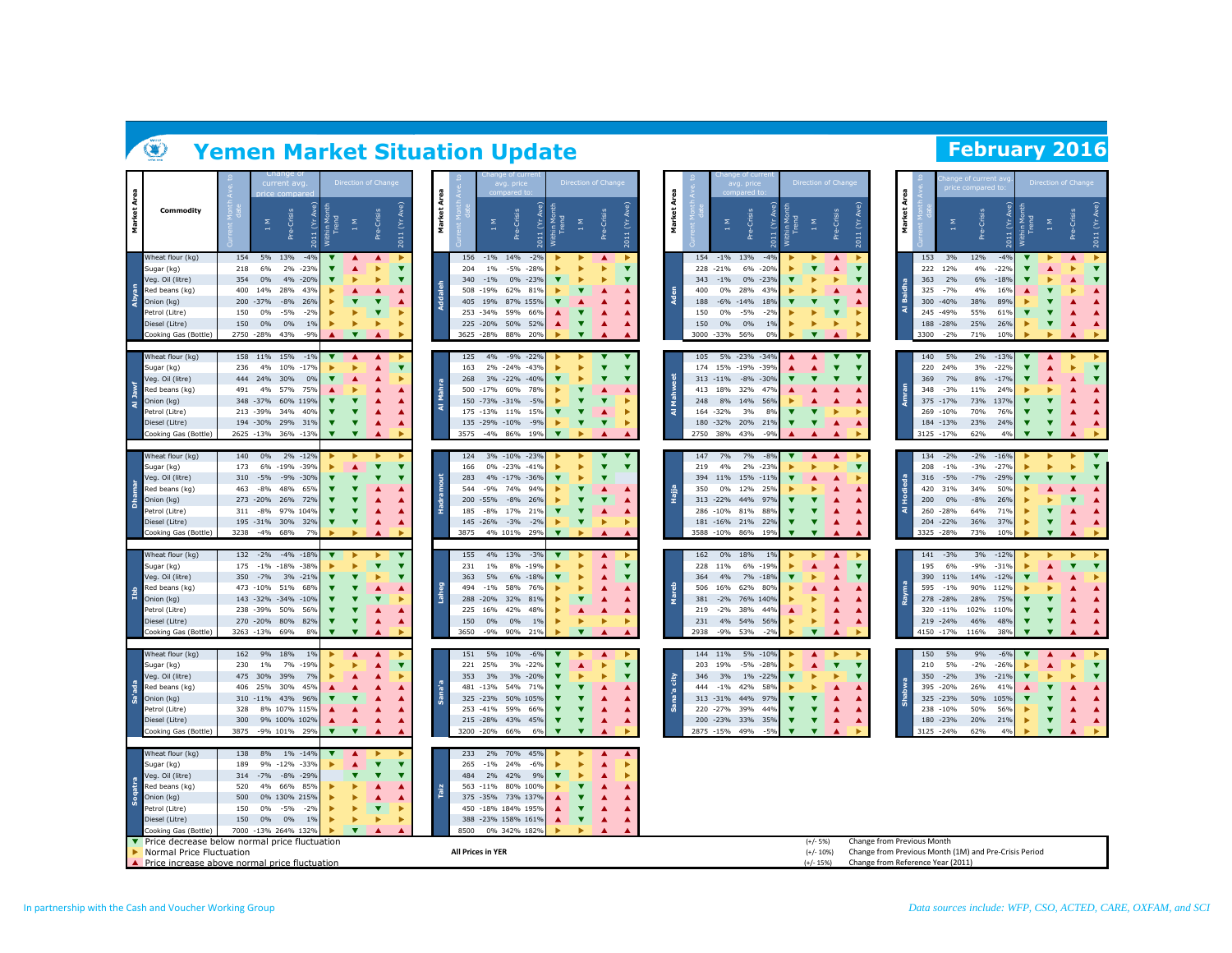# **Yemen Market Situation Update February** 2016

|                |                                                    | current av                                                                       | Direction of Chang                                                                      |                          | avg. price                                      | Direction of Chang                                      |               |                |                           | avg. price                                                    | Direction of Chan                                   |                                                         | Area                              |                      | je of current<br>ce compared i                        |                                                    | Direction of Chang                 |                         |
|----------------|----------------------------------------------------|----------------------------------------------------------------------------------|-----------------------------------------------------------------------------------------|--------------------------|-------------------------------------------------|---------------------------------------------------------|---------------|----------------|---------------------------|---------------------------------------------------------------|-----------------------------------------------------|---------------------------------------------------------|-----------------------------------|----------------------|-------------------------------------------------------|----------------------------------------------------|------------------------------------|-------------------------|
| Market Area    | Commodity                                          | Pre-Crisis<br>Σ                                                                  | 2011 (Yr Ave)<br>Crisis<br>$\frac{\Sigma}{1}$<br>Ĕ<br>Within<br>e <sub>re</sub><br>2011 | Area<br>Market           | Pre-Crisis<br>Σ<br>č<br>2011                    | Pre-Crisis<br><b>Trend</b><br>Σ                         | 2011 (Yr Ave) | Area<br>Market |                           | 2011 (Yr Ave)<br>Pre-Crisis<br>Σ                              | $\frac{8}{11}$                                      | 2011 (Yr Ave)<br>Pre-Crisis                             | Market                            | Σ                    | Pre-Crisis<br>Ĕ<br>2011                               | ≅                                                  | Pre-Crisis                         | 2011 (Yr Ave)           |
|                | Wheat flour (kg)                                   | 154<br>5%<br>13%<br>$-4%$                                                        | ▶                                                                                       | 156                      | $-1\% - 14\%$<br>$-2%$                          |                                                         |               |                | 154                       | $-1\%$ 13%<br>$-4%$                                           |                                                     | ▲<br>▶                                                  | 153                               | 3%                   | $-4%$<br>12%                                          |                                                    | ▲                                  |                         |
|                | Sugar (kg)<br>Veg. Oil (litre)                     | 6%<br>2%<br>$-23%$<br>218<br>354<br>0%<br>4%<br>$-20%$                           | ▼<br>▼                                                                                  | 204<br>340               | $1\%$<br>-5% -28%<br>$-1%$<br>0% -23%           |                                                         |               |                | 228 -21%<br>343           | 6%<br>$-209$<br>$-1\%$<br>$0\%$<br>$-239$                     |                                                     | ▲                                                       | 222<br>363                        | 12%<br>2%            | 4%<br>$-22%$<br>6%<br>$-189$                          |                                                    | ▲                                  |                         |
|                | Red beans (kg)                                     | 28%<br>400<br>14%<br>43%                                                         | ▲                                                                                       | 508                      | $-19%$<br>62%<br>819                            | ▲                                                       |               |                | 400                       | 28%<br>0%<br>43%                                              |                                                     | ▲                                                       | Baidha<br>325                     | $-7%$                | 4%<br>16%                                             |                                                    | ь                                  |                         |
| Abyan          | Onion (kg)                                         | 200<br>$-37%$<br>$-8%$<br>26%                                                    | $\overline{\textbf{v}}$                                                                 | Addaleh                  | 405 19% 87% 155%                                |                                                         |               | ž              | 188                       | $-6\% -14\%$<br>18%                                           |                                                     | $\overline{\phantom{a}}$                                | 300                               | $-40%$               | 38%<br>89%                                            |                                                    |                                    |                         |
|                | etrol (Litre)                                      | 150<br>0%<br>$-5%$<br>$-2%$                                                      | v                                                                                       |                          | 253 - 34%<br>59%<br>66%                         | A                                                       |               |                | 150                       | $0\%$<br>$-5%$<br>$-29$                                       |                                                     |                                                         | ৰ                                 | 245 -49%             | 55%<br>61%                                            |                                                    |                                    |                         |
|                | Diesel (Litre)                                     | 150<br>0%<br>0%<br>1%                                                            | ь                                                                                       |                          | 225 - 20% 50% 52%                               | ▲<br>▲                                                  |               |                | 150                       | 0%<br>$0\%$<br>1%                                             | ь<br>Þ                                              | ь                                                       |                                   | 188 - 28%            | 25%<br>26%                                            |                                                    | ▲                                  |                         |
|                | Cooking Gas (Bottle)                               | 2750 -28%<br>43%<br>$-9%$                                                        | $\overline{\phantom{a}}$                                                                |                          | 3625 - 28% 88%<br>20%                           |                                                         |               |                | 3000 - 33%                | 56%<br>0%                                                     | $\overline{\mathbf{v}}$                             |                                                         | 3300                              | $-2%$                | 71%<br>10%                                            |                                                    |                                    |                         |
|                | Wheat flour (kg)<br>Sugar (kg)<br>Veg. Oil (litre) | 158 11%<br>15%<br>$-1%$<br>236<br>4%<br>10%<br>$-179$<br>444<br>24%<br>30%<br>0% | ▲<br>▲<br>▶<br>۷<br>▲<br>▲                                                              | 125<br>163<br>268        | 4% -9% -22%<br>2% -24% -43%<br>3% -22% -40%     | ▼                                                       |               |                | 105<br>$313 - 11\%$       | 5% -23% -34%<br>174 15% -19%<br>$-399$<br>$-8\% -30\%$        | ▲<br>▲<br>▲                                         | ▼<br>$\overline{\textbf{v}}$<br>$\overline{\mathbf{v}}$ | 140<br>220<br>369                 | 5%<br>24%<br>7%      | 2%<br>$-13%$<br>3%<br>$-22%$<br>$-17%$<br>8%          |                                                    | ▲<br>ь<br>▲                        | $\overline{\textbf{v}}$ |
|                | Red beans (kg)                                     | 491<br>4%<br>57%<br>75%                                                          |                                                                                         |                          | 500 -17% 60%<br>78%                             | ▲                                                       |               |                | 413<br>18%                | 32%<br>47%                                                    |                                                     |                                                         | 348                               | $-3%$                | 11%<br>24%                                            |                                                    |                                    |                         |
| $\overline{a}$ | Onion (kg)                                         | 60% 119%<br>348 - 37%                                                            |                                                                                         | 로<br>द                   | 150 -73% -31%<br>$-5%$                          | $\overline{\mathbf{v}}$                                 |               | ka.<br>Ma      | 248                       | 8% 14%<br>56%                                                 |                                                     |                                                         |                                   | 375 -17%             | 73%<br>137%                                           |                                                    |                                    |                         |
|                | Petrol (Litre)                                     | 34%<br>213 - 39%<br>40%                                                          | ▲                                                                                       |                          | 175 - 13% 11%<br>15%                            | ▲                                                       |               | ৰ              | 164<br>$-32%$             | 3%<br>8%                                                      | $\overline{\textbf{v}}$                             |                                                         | 269                               | $-10%$               | 70%<br>76%                                            |                                                    | ▲                                  |                         |
|                | Diesel (Litre)                                     | 194 - 30%<br>29%<br>31%                                                          | ▼<br>▲<br>$\overline{\mathbf{v}}$<br>$\overline{\mathbf{v}}$                            |                          | 135 - 29% - 10%<br>$-9%$<br>3575 -4% 86%<br>19% | $\overline{\textbf{v}}$<br>$\overline{\textbf{v}}$<br>▲ |               |                | 180<br>$-32%$<br>2750 38% | 20%<br>219<br>$-99$                                           | $\overline{\textbf{v}}$<br>τ                        | ▲                                                       |                                   | 184 -13%             | 23%<br>24%<br>62%<br>4%                               | $\overline{\textbf{v}}$<br>$\overline{\mathbf{v}}$ | ▼<br>▲<br>$\overline{\phantom{a}}$ |                         |
|                | Cooking Gas (Bottle)                               | 2625 -13%<br>36% -13%                                                            |                                                                                         |                          |                                                 |                                                         |               |                |                           | 43%                                                           |                                                     |                                                         |                                   | 3125 -17%            |                                                       |                                                    |                                    |                         |
|                | Wheat flour (kg)                                   | 140<br>$0\%$<br>2% -12%                                                          |                                                                                         | 124                      | 3% -10% -23%                                    |                                                         |               |                | 147                       | 7%<br>7%<br>$-89$                                             | ▲                                                   | ▲                                                       | 134                               | $-2%$                | $-2%$<br>$-16%$                                       |                                                    |                                    |                         |
|                | Sugar (kg)                                         | 6% -19% -39%<br>173                                                              | ۷<br>۷                                                                                  | 166                      | 0% -23% -41%                                    | $\overline{\textbf{v}}$                                 |               |                | 219                       | 2%<br>4%<br>$-239$                                            |                                                     |                                                         | 208                               | $-1%$                | $-27%$<br>$-3%$                                       |                                                    | ь                                  | $\overline{\textbf{v}}$ |
|                | Veg. Oil (litre)                                   | -9% -30%<br>310<br>$-5%$                                                         |                                                                                         | ă<br>283                 | 4% -17% -36%                                    | $\overline{\phantom{a}}$                                |               |                | 394                       | 11% 15% -11%                                                  |                                                     | ▲                                                       | 316                               | $-5%$                | $-7%$<br>$-29%$                                       |                                                    |                                    |                         |
|                | Red beans (kg)<br>Onion (kg)                       | 463<br>$-8%$<br>48%<br>65%<br>273 -20%<br>26%<br>72%                             |                                                                                         | 544<br>200 - 55%         | $-9%$<br>74%<br>94%<br>$-8%$<br>26%             | A<br>▼                                                  |               | Hajja          | 350<br>313 -22%           | 0%<br>12%<br>25%<br>44%<br>97%                                |                                                     |                                                         | 420<br>$rac{8}{5}$<br>200         | 31%<br>0%            | 34%<br>50%<br>$-8%$<br>26%                            |                                                    |                                    |                         |
|                | Petrol (Litre)                                     | 97% 104%<br>311<br>$-8%$                                                         | ▲                                                                                       | 185                      | $-8\% - 17\%$<br>21%                            |                                                         |               |                | $-10%$<br>286             | 81%<br>889                                                    |                                                     | Δ                                                       | ৰ                                 | 260 - 28%            | 64%<br>71%                                            |                                                    |                                    |                         |
|                | Diesel (Litre)                                     | 195 - 31%<br>30%<br>32%                                                          | ▲                                                                                       |                          | 145 - 26% - 3%<br>$-2%$                         | ь                                                       |               |                |                           | 181 -16% 21%<br>22%                                           | ▼<br>▼                                              | ▲                                                       |                                   | 204 -22%             | 36%<br>37%                                            |                                                    | ▼<br>▲                             |                         |
|                | Cooking Gas (Bottle)                               | $-4\%$ 68%<br>3238<br>7%                                                         |                                                                                         | 3875                     | 4% 101%<br>29%                                  |                                                         |               |                | 3588 -10% 86%             | 19%                                                           | $\overline{\mathbf{v}}$<br>▼                        |                                                         |                                   | 3325 -28%            | 73%<br>10%                                            |                                                    | $\overline{\textbf{v}}$            |                         |
|                |                                                    | 132 -2%<br>$-4\% -18\%$                                                          |                                                                                         | 155                      | 4%<br>$-3%$                                     |                                                         |               |                | 162                       | $0\%$<br>18%<br>1%                                            |                                                     | ▶                                                       |                                   | 141 - 3%             | 3%<br>$-12%$                                          |                                                    |                                    |                         |
|                | Wheat flour (kg)<br>Sugar (kg)                     | 175<br>$-1\%$<br>$-18%$<br>$-389$                                                | ▼                                                                                       | 231                      | 13%<br>1%<br>8%<br>$-19%$                       |                                                         |               |                | 228<br>11%                | 6%<br>$-199$                                                  |                                                     | ▲                                                       | 195                               | 6%                   | -9%<br>$-319$                                         |                                                    |                                    |                         |
|                | Veg. Oil (litre)                                   | 350<br>$-7%$<br>3% -21%                                                          |                                                                                         | 363                      | 5%<br>6% -18%                                   | ▲                                                       |               |                | 364                       | 7% -18%<br>4%                                                 |                                                     | ▲                                                       | 390                               | 11%                  | 14%<br>$-12%$                                         |                                                    | ▲                                  |                         |
| $\frac{9}{10}$ | Red beans (kg)                                     | 51%<br>473 -10%<br>68%                                                           | ▲                                                                                       | 494                      | 58%<br>$-1%$<br>76%                             |                                                         |               |                | 506<br>16%                | 62%<br>80%                                                    |                                                     |                                                         | 595                               | $-1%$                | 90%<br>112%                                           |                                                    |                                    |                         |
|                | Onion (kg)                                         | 143 - 32% - 34% - 10%                                                            | $\overline{\textbf{v}}$                                                                 | 288                      | $-20%$<br>32% 81%                               |                                                         |               |                | 381                       | 76% 140%<br>$-2%$                                             |                                                     |                                                         |                                   | 278 - 28%            | 28%<br>75%                                            |                                                    |                                    |                         |
|                | Petrol (Litre)<br>Diesel (Litre)                   | 50%<br>238 - 39%<br>56%<br>270 -20% 80%<br>82%                                   | ▲<br>▼<br>▼<br>▲                                                                        | 225<br>150               | 42%<br>48%<br>16%<br>$0\%$<br>0%<br>1%          | ▲<br>٠                                                  |               |                | 219<br>231                | 38%<br>$-2%$<br>44%<br>54% 56%<br>4%<br>53%<br>$-9%$<br>$-29$ | ▶                                                   | ▲<br>▲                                                  |                                   | 320 -11%<br>219 -24% | 102%<br>110%<br>46%<br>48%                            | $\overline{\textbf{v}}$                            | ▲<br>▼<br>▲                        |                         |
|                | Cooking Gas (Bottle)                               | 3263 - 13%<br>69%<br>8%                                                          | ▼                                                                                       | 3650                     | $-9%$<br>90%<br>21%                             | $\overline{\phantom{a}}$                                |               |                | 2938                      |                                                               | $\overline{\mathbf{v}}$                             |                                                         |                                   | 4150 -17%            | 116%<br>38%                                           | $\overline{\textbf{v}}$                            | $\overline{\phantom{a}}$           |                         |
|                |                                                    |                                                                                  |                                                                                         |                          |                                                 |                                                         |               |                |                           |                                                               |                                                     |                                                         |                                   |                      |                                                       |                                                    |                                    |                         |
|                | Wheat flour (kg)                                   | 162 9%<br>18%<br>1%                                                              | ▲<br>▲                                                                                  | 151                      | 5% 10%<br>$-6%$                                 | ▲                                                       |               |                | 144 11%                   | 5% -10%                                                       | ▲                                                   | $\overline{\mathbf{v}}$                                 | 150                               | 5%                   | 9%<br>$-6%$                                           |                                                    | ▲<br>▲                             | $\overline{\textbf{v}}$ |
|                | Sugar (kg)<br>/eg. Oil (litre)                     | 7%<br>$-19%$<br>230<br>1%<br>475<br>39%<br>30%<br>7%                             | ▲<br>▼<br>▲                                                                             | 221<br>353               | 25%<br>3%<br>$-22%$<br>3%<br>3%<br>$-20%$       | ▶<br>ь                                                  |               |                | 19%<br>203<br>346         | $-5%$<br>$-289$<br>3%<br>1%<br>$-229$                         | ▲<br>ь                                              | ь                                                       | 210<br>350                        | 5%<br>$-2%$          | $-2%$<br>$-26%$<br>3%<br>$-21%$                       |                                                    | ▶<br>ь                             |                         |
|                | Red beans (kg)                                     | 30%<br>45%<br>406<br>25%                                                         |                                                                                         |                          | 481 -13%<br>54%<br>71%                          | ▲                                                       |               | dity           | 444                       | $-1%$<br>42%<br>58%                                           |                                                     |                                                         |                                   | 395 -20%             | 26%<br>41%                                            |                                                    | ▲                                  |                         |
|                | Onion (kg)                                         | 43%<br>96%<br>310 -11%                                                           | ▲                                                                                       |                          | 325 -23% 50% 105%                               |                                                         |               |                |                           | 313 - 31% 44%<br>97%                                          |                                                     |                                                         |                                   | 325 -23%             | 50%<br>105%                                           |                                                    |                                    |                         |
|                | <sup>9</sup> etrol (Litre)                         | 328<br>8% 107% 115%                                                              | ▲                                                                                       |                          | 253 -41% 59%<br>66%                             | ▲                                                       |               |                | 220 -27%                  | 39%<br>44%                                                    | $\overline{\textbf{v}}$                             | ▲                                                       |                                   | 238 -10%             | 50%<br>56%                                            |                                                    | ▲                                  |                         |
|                | Diesel (Litre)                                     | 300<br>9% 100% 102%                                                              | ▲                                                                                       |                          | 215 - 28% 43% 45%                               | ▲                                                       |               |                | 200 -23%                  | 33%<br>35%                                                    | ▼<br>▼                                              | ▲                                                       |                                   | 180 -23%             | 20%<br>21%                                            | ь                                                  | $\overline{\phantom{a}}$<br>▲      |                         |
|                | Cooking Gas (Bottle)                               | $-9\%$ 101%<br>3875<br>29%                                                       | $\overline{\textbf{v}}$<br>$\overline{\mathbf{v}}$                                      | 3200 -20%                | 66%<br>6%                                       |                                                         |               |                | 2875 - 15%                | 49%<br>$-5%$                                                  | $\overline{\phantom{a}}$<br>$\overline{\mathbf{v}}$ |                                                         |                                   | 3125 -24%            | 62%<br>4%                                             |                                                    | $\overline{\textbf{v}}$            |                         |
|                | Wheat flour (kg)                                   | 138<br>8%<br>1% - 14%                                                            |                                                                                         | 233                      | 2%<br>70%<br>45%                                |                                                         | ▲             |                |                           |                                                               |                                                     |                                                         |                                   |                      |                                                       |                                                    |                                    |                         |
|                | Sugar (kg)                                         | $-12%$<br>$-33%$<br>189<br>9%                                                    | ▼                                                                                       | 265                      | $-1\%$ 24%<br>$-6%$                             | ▲                                                       |               |                |                           |                                                               |                                                     |                                                         |                                   |                      |                                                       |                                                    |                                    |                         |
| atra           | Veg. Oil (litre)                                   | 314<br>$-7%$<br>$-8\% -29\%$                                                     | v<br>▼                                                                                  | 484                      | 2% 42%<br>9%                                    |                                                         |               |                |                           |                                                               |                                                     |                                                         |                                   |                      |                                                       |                                                    |                                    |                         |
|                | Red beans (kg)                                     | 66%<br>85%<br>520<br>4%<br>500                                                   | ▲                                                                                       | Taiz                     | 563 -11% 80% 100%<br>375 - 35% 73% 137%         |                                                         |               |                |                           |                                                               |                                                     |                                                         |                                   |                      |                                                       |                                                    |                                    |                         |
| <b>Seq</b>     | Onion (kg)<br>Petrol (Litre)                       | 0% 130% 215%<br>150<br>$0\%$<br>$-5%$<br>$-2%$                                   | ▼                                                                                       |                          | 450 -18% 184% 195%                              |                                                         |               |                |                           |                                                               |                                                     |                                                         |                                   |                      |                                                       |                                                    |                                    |                         |
|                | Diesel (Litre)                                     | $0\%$<br>150<br>$0\%$<br>1%                                                      | ь                                                                                       |                          | 388 -23% 158% 161%                              | ▲                                                       |               |                |                           |                                                               |                                                     |                                                         |                                   |                      |                                                       |                                                    |                                    |                         |
|                | Cooking Gas (Bottle)                               | 7000 -13% 264% 132%                                                              | $\overline{\textbf{v}}$                                                                 | 8500                     | 0% 342% 1829                                    |                                                         |               |                |                           |                                                               |                                                     |                                                         |                                   |                      |                                                       |                                                    |                                    |                         |
|                |                                                    | Price decrease below normal price fluctuation                                    |                                                                                         |                          |                                                 |                                                         |               |                |                           |                                                               | $(+/- 5%)$                                          |                                                         | Change from Previous Month        |                      |                                                       |                                                    |                                    |                         |
|                | Normal Price Fluctuation                           | Price increase above normal price fluctuation                                    |                                                                                         | <b>All Prices in YER</b> |                                                 |                                                         |               |                |                           |                                                               | $(+/- 10%)$<br>$(+/- 15%)$                          |                                                         | Change from Reference Year (2011) |                      | Change from Previous Month (1M) and Pre-Crisis Period |                                                    |                                    |                         |
|                |                                                    |                                                                                  |                                                                                         |                          |                                                 |                                                         |               |                |                           |                                                               |                                                     |                                                         |                                   |                      |                                                       |                                                    |                                    |                         |